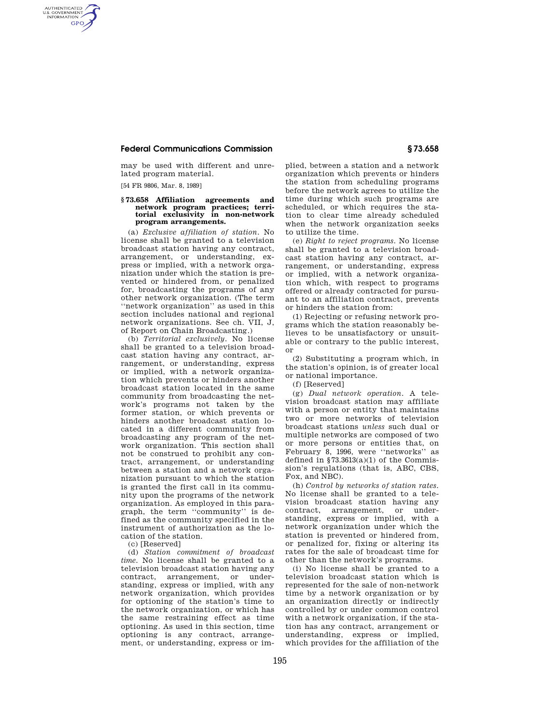### **Federal Communications Commission § 73.658**

may be used with different and unrelated program material.

[54 FR 9806, Mar. 8, 1989]

AUTHENTICATED<br>U.S. GOVERNMENT<br>INFORMATION **GPO** 

# **§ 73.658 Affiliation agreements and network program practices; terri-torial exclusivity in non-network program arrangements.**

(a) *Exclusive affiliation of station.* No license shall be granted to a television broadcast station having any contract, arrangement, or understanding, express or implied, with a network organization under which the station is prevented or hindered from, or penalized for, broadcasting the programs of any other network organization. (The term ''network organization'' as used in this section includes national and regional network organizations. See ch. VII, J, of Report on Chain Broadcasting.)

(b) *Territorial exclusively.* No license shall be granted to a television broadcast station having any contract, arrangement, or understanding, express or implied, with a network organization which prevents or hinders another broadcast station located in the same community from broadcasting the network's programs not taken by the former station, or which prevents or hinders another broadcast station located in a different community from broadcasting any program of the network organization. This section shall not be construed to prohibit any contract, arrangement, or understanding between a station and a network organization pursuant to which the station is granted the first call in its community upon the programs of the network organization. As employed in this paragraph, the term ''community'' is defined as the community specified in the instrument of authorization as the location of the station.

(c) [Reserved]

(d) *Station commitment of broadcast time.* No license shall be granted to a television broadcast station having any contract, arrangement, or understanding, express or implied, with any network organization, which provides for optioning of the station's time to the network organization, or which has the same restraining effect as time optioning. As used in this section, time optioning is any contract, arrangement, or understanding, express or implied, between a station and a network organization which prevents or hinders the station from scheduling programs before the network agrees to utilize the time during which such programs are scheduled, or which requires the station to clear time already scheduled when the network organization seeks to utilize the time.

(e) *Right to reject programs.* No license shall be granted to a television broadcast station having any contract, arrangement, or understanding, express or implied, with a network organization which, with respect to programs offered or already contracted for pursuant to an affiliation contract, prevents or hinders the station from:

(1) Rejecting or refusing network programs which the station reasonably believes to be unsatisfactory or unsuitable or contrary to the public interest, or

(2) Substituting a program which, in the station's opinion, is of greater local or national importance.

(f) [Reserved]

(g) *Dual network operation.* A television broadcast station may affiliate with a person or entity that maintains two or more networks of television broadcast stations *unless* such dual or multiple networks are composed of two or more persons or entities that, on February 8, 1996, were ''networks'' as defined in  $$73.3613(a)(1)$  of the Commission's regulations (that is, ABC, CBS, Fox, and NBC).

(h) *Control by networks of station rates.*  No license shall be granted to a television broadcast station having any contract, arrangement, or understanding, express or implied, with a network organization under which the station is prevented or hindered from, or penalized for, fixing or altering its rates for the sale of broadcast time for other than the network's programs.

(i) No license shall be granted to a television broadcast station which is represented for the sale of non-network time by a network organization or by an organization directly or indirectly controlled by or under common control with a network organization, if the station has any contract, arrangement or understanding, express or implied, which provides for the affiliation of the